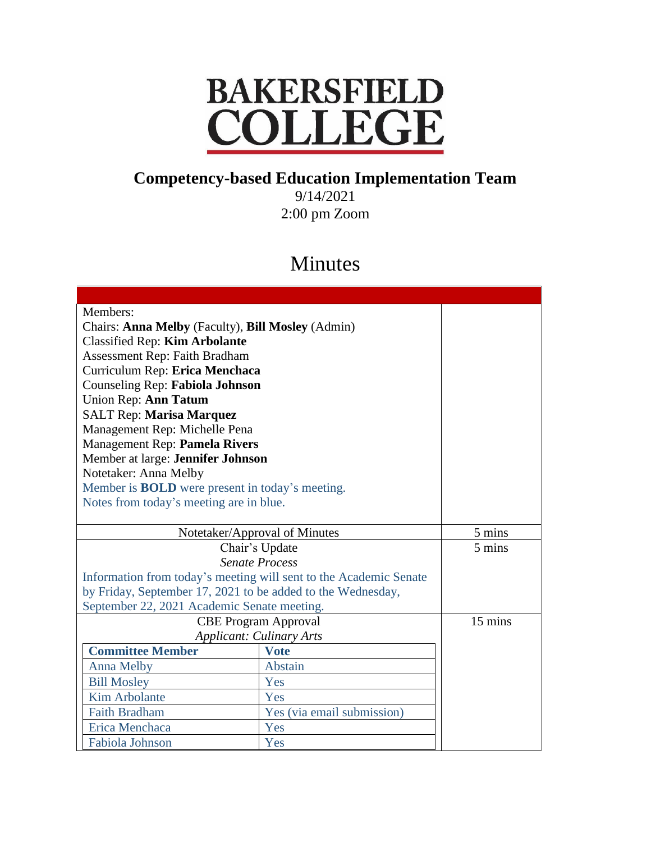## **BAKERSFIELD** COLLEGE

## **Competency-based Education Implementation Team**

9/14/2021 2:00 pm Zoom

## Minutes

| Members:                                                          |                            |         |
|-------------------------------------------------------------------|----------------------------|---------|
| Chairs: Anna Melby (Faculty), Bill Mosley (Admin)                 |                            |         |
| <b>Classified Rep: Kim Arbolante</b>                              |                            |         |
| Assessment Rep: Faith Bradham                                     |                            |         |
| Curriculum Rep: Erica Menchaca                                    |                            |         |
| Counseling Rep: Fabiola Johnson                                   |                            |         |
| Union Rep: Ann Tatum                                              |                            |         |
| <b>SALT Rep: Marisa Marquez</b>                                   |                            |         |
| Management Rep: Michelle Pena                                     |                            |         |
| Management Rep: Pamela Rivers                                     |                            |         |
| Member at large: Jennifer Johnson                                 |                            |         |
| Notetaker: Anna Melby                                             |                            |         |
| Member is <b>BOLD</b> were present in today's meeting.            |                            |         |
| Notes from today's meeting are in blue.                           |                            |         |
|                                                                   |                            |         |
| Notetaker/Approval of Minutes                                     |                            | 5 mins  |
| Chair's Update                                                    |                            | 5 mins  |
| <b>Senate Process</b>                                             |                            |         |
| Information from today's meeting will sent to the Academic Senate |                            |         |
| by Friday, September 17, 2021 to be added to the Wednesday,       |                            |         |
| September 22, 2021 Academic Senate meeting.                       |                            |         |
| <b>CBE Program Approval</b>                                       |                            | 15 mins |
| <b>Applicant: Culinary Arts</b>                                   |                            |         |
| <b>Committee Member</b>                                           | <b>Vote</b>                |         |
| <b>Anna Melby</b>                                                 | Abstain                    |         |
| <b>Bill Mosley</b>                                                | Yes                        |         |
| Kim Arbolante                                                     | Yes                        |         |
| <b>Faith Bradham</b>                                              | Yes (via email submission) |         |
| Erica Menchaca                                                    | Yes                        |         |
| Fabiola Johnson                                                   | Yes                        |         |